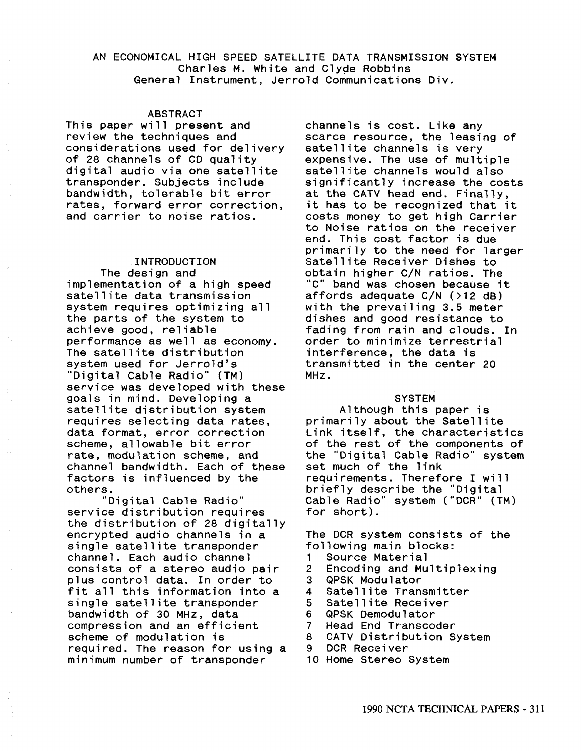## AN ECONOMICAL HIGH SPEED SATELLITE DATA TRANSMISSION SYSTEM Charles M. White and Clyqe Robbins General Instrument, Jerrold Communications Div.

### ABSTRACT

This paper will present and review the techniques and considerations used for delivery of 28 channels of CD quality digital audio via one satellite transponder. Subjects include bandwidth, tolerable bit error rates, forward error correction, and carrier to noise ratios.

## INTRODUCTION

The design and implementation of a high speed satellite data transmission system requires optimizing all the parts of the system to achieve good, reliable performance as well as economy. The satellite distribution system used for Jerrold's "Digital Cable Radio" (TM) service was developed with these goals in mind. Developing a satellite distribution system requires selecting data rates, data format, error correction scheme, allowable bit error rate, modulation scheme, and channel bandwidth. Each of these factors is influenced by the others.

"Digital Cable Radio" service distribution requires the distribution of 28 digitally encrypted audio channels in a single satellite transponder channel. Each audio channel consists of a stereo audio pair plus control data. In order to fit all this information into a single satellite transponder bandwidth of 30 MHZ, data compression and an efficient scheme of modulation is required. The reason for using a minimum number of transponder

channels is cost. Like any scarce resource, the leasing of satellite channels is very expensive. The use of multiple satellite channels would also significantly increase the costs at the CATV head end. Finally, it has to be recognized that it costs money to get high Carrier to Noise ratios on the receiver end. This cost factor is due primarily to the need for larger Satellite Receiver Dishes to obtain higher C/N ratios. The "C" band was chosen because it affords adequate C/N (>12 dB) with the prevailing 3.5 meter dishes and good resistance to fading from rain and clouds. In order to minimize terrestrial interference, the data is transmitted in the center 20 MH<sub>z</sub>.

### **SYSTEM**

Although this paper is primarily about the Satellite Link itself, the characteristics of the rest of the components of the "Digital Cable Radio" system set much of the link requirements. Therefore I will briefly describe the "Digital Cable Radio" system ("OCR" (TM) for short).

The OCR system consists of the following main blocks:

- 1 Source Material
- 2 Encoding and Multiplexing<br>3 QPSK Modulator
- 3 QPSK Modulator
- 4 Satellite Transmitter<br>5 Satellite Receiver
- 5 Satellite Receiver<br>6 QPSK Demodulator
- 6 QPSK Demodulator
- 
- 7 Head End Transcoder 8 CATV Distribution System<br>9 DCR Receiver
- DCR Receiver
- 10 Home Stereo System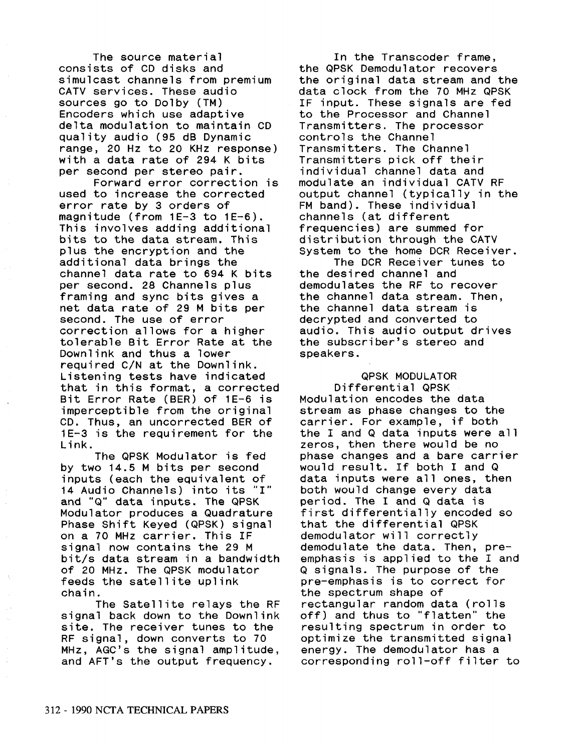The source material consists of CD disks and simulcast channels from premium CATV services. These audio sources go to Dolby (TM) Encoders which use adaptive delta modulation to maintain CD quality audio (95 dB Dynamic range, 20 Hz to 20 KHz response) with a data rate of 294 K bits per second per stereo pair.

Forward error correction is used to increase the corrected error rate by 3 orders of magnitude (from 1E-3 to 1E-6). This involves adding additional bits to the data stream. This plus the encryption and the additional data brings the channel data rate to 694 K bits per second. 28 Channels plus framing and sync bits gives a net data rate of 29 M bits per second. The use of error correction allows for a higher tolerable Bit Error Rate at the Downlink and thus a lower required C/N at the Downlink. Listening tests have indicated that in this format, a corrected Bit Error Rate (BER) of 1E-6 is imperceptible from the original CD. Thus, an uncorrected BER of 1E-3 is the requirement for the Link.

The QPSK Modulator is fed by two 14.5 M bits per second inputs (each the equivalent of 14 Audio Channels) into its "I" and "Q" data inputs. The QPSK Modulator produces a Quadrature Phase Shift Keyed (QPSK) signal on a 70 MHz carrier. This IF signal now contains the 29 M bit/s data stream in a bandwidth of 20 MHz. The QPSK modulator feeds the satellite uplink chain.

The Satellite relays the RF signal back down to the Downlink site. The receiver tunes to the RF signal, down converts to 70 MHz, AGC's the signal amplitude, and AFT's the output frequency.

In the Transcoder frame, the QPSK Demodulator recovers the original data stream and the data clock from the 70 MHz QPSK IF input. These signals are fed to the Processor and Channel Transmitters. The processor controls the Channel Transmitters. The Channel Transmitters pick off their individual channel data and modulate an individual CATV RF output channel (typically in the FM band). These individual channels (at different frequencies) are summed for distribution through the CATV System to the home DCR Receiver.

The DCR Receiver tunes to the desired channel and demodulates the RF to recover the channel data stream. Then, the channel data stream is decrypted and converted to audio. This audio output drives the subscriber's stereo and speakers.

# QPSK MODULATOR Differential QPSK Modulation encodes the data stream as phase changes to the carrier. For example, if both the I and Q data inputs were all zeros, then there would be no phase changes and a bare carrier would result. If both I and Q data inputs were all ones, then both would change every data period. The I and Q data is first differentially encoded so that the differential QPSK demodulator will correctly demodulate the data. Then, preemphasis is applied to the I and Q signals. The purpose of the pre-emphasis is to correct for the spectrum shape of rectangular random data (rolls off) and thus to "flatten" the resulting spectrum in order to optimize the transmitted signal energy. The demodulator has a corresponding roll-off filter to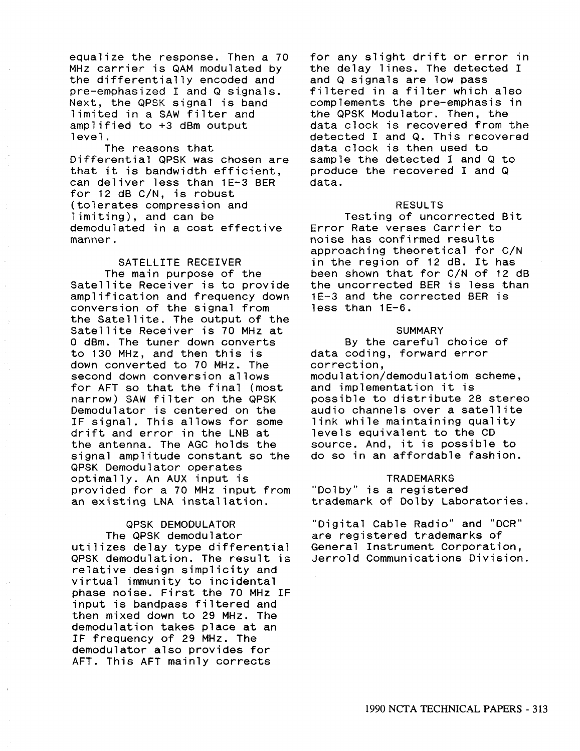equalize the response. Then a 70 MHz carrier is QAM modulated by the differentially encoded and pre-emphasized I and Q signals. Next, the QPSK signal is band limited in a SAW filter and amplified to +3 dBm output level.

The reasons that Differential QPSK was chosen are that it is bandwidth efficient, can deliver less than 1E-3 BER for 12 dB C/N, is robust (tolerates compression and limiting), and can be demodulated in a cost effective manner.

SATELLITE RECEIVER The main purpose of the Satellite Receiver is to provide amplification and frequency down conversion of the signal from the Satellite. The output of the Satellite Receiver is 70 MHz at 0 dBm. The tuner down converts to 130 MHz, and then this is down converted to 70 MHz. The second down conversion allows for AFT so that the final (most narrow) SAW filter on the QPSK Demodulator is centered on the IF signal. This allows for some drift and error in the LNB at the antenna. The AGC holds the signal amplitude constant so the QPSK Demodulator operates optimally. An AUX input is provided for a 70 MHz input from an existing LNA installation.

QPSK DEMODULATOR The QPSK demodulator utilizes delay type differential QPSK demodulation. The result is relative design simplicity and virtual immunity to incidental phase noise. First the 70 MHz IF input is bandpass filtered and then mixed down to 29 MHz. The demodulation takes place at an IF frequency of 29 MHz. The demodulator also provides for AFT. This AFT mainly corrects

for any slight drift or error in the delay lines. The detected I and Q signals are low pass filtered in a filter which also complements the pre-emphasis in the QPSK Modulator. Then, the data clock is recovered from the detected I and Q. This recovered data clock is then used to sample the detected I and Q to produce the recovered I and Q data.

### RESULTS

Testing of uncorrected Bit Error Rate verses Carrier to noise has confirmed results approaching theoretical for C/N in the region of 12 dB. It has been shown that for C/N of 12 dB the uncorrected BER is less than 1E-3 and the corrected BER is less than 1E-6.

### **SUMMARY**

By the careful choice of data coding, forward error correction, modulation/demodulatiom scheme, and implementation it is possible to distribute 28 stereo audio channels over a satellite link while maintaining quality levels equivalent to the CD source. And, it is possible to do so in an affordable fashion.

### **TRADEMARKS**

"Dolby" is a registered trademark of Dolby Laboratories.

"Digital Cable Radio" and "OCR" are registered trademarks of General Instrument Corporation, Jerrold Communications Division.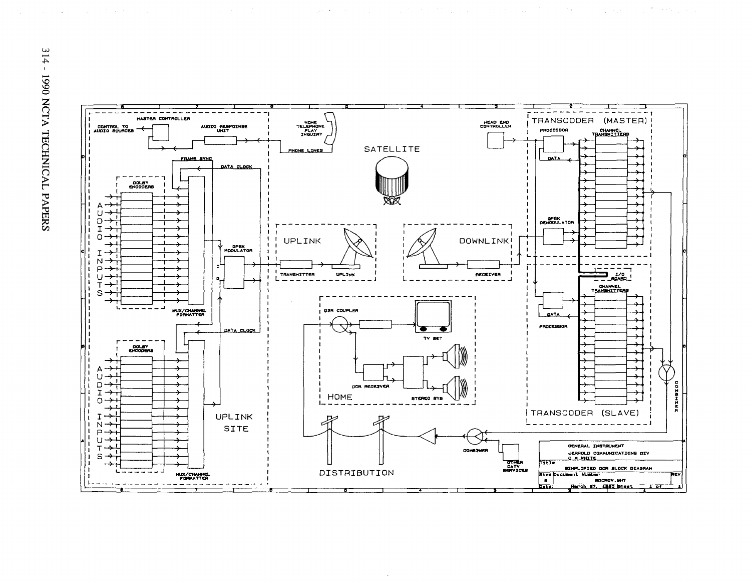

 $\sim$ 

 $\gamma_{\rm eff}$  and  $\gamma_{\rm eff}$ 

and a state of

 $\label{eq:2.1} \mathcal{L}_{\mathcal{A}}(\mathcal{A})=\mathcal{L}_{\mathcal{A}}(\mathcal{A})\otimes\mathcal{L}_{\mathcal{A}}(\mathcal{A})\otimes\mathcal{L}_{\mathcal{A}}(\mathcal{A})\otimes\mathcal{L}_{\mathcal{A}}(\mathcal{A})\otimes\mathcal{L}_{\mathcal{A}}(\mathcal{A})\otimes\mathcal{L}_{\mathcal{A}}(\mathcal{A})\otimes\mathcal{L}_{\mathcal{A}}(\mathcal{A})\otimes\mathcal{L}_{\mathcal{A}}(\mathcal{A})\otimes\mathcal{L}_{\mathcal{A}}(\mathcal{A})\otimes\mathcal{$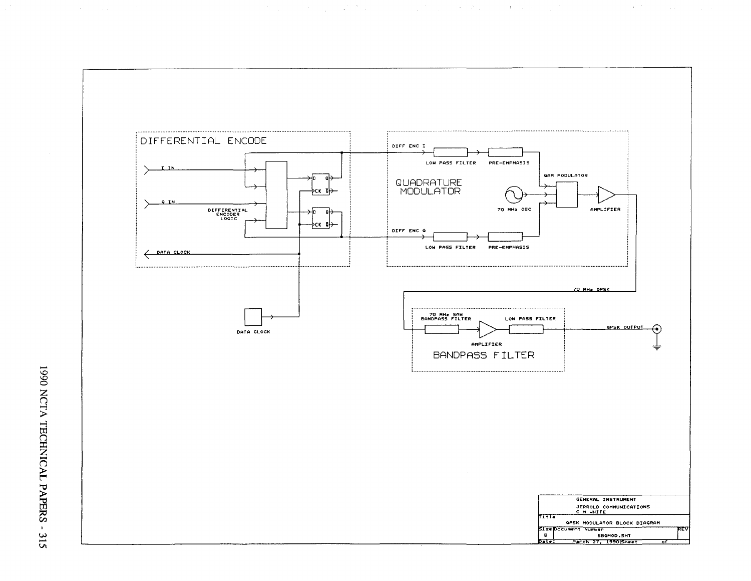

**这个人的人都是在这个人的人的人,我们的人都是不是** 

 $\label{eq:1} \mathcal{L}^{\mathcal{L}}(\mathbf{A}) = \mathcal{L}^{\mathcal{L}}(\mathbf{A}) = \mathcal{L}^{\mathcal{L}}(\mathbf{A}) = \mathcal{L}^{\mathcal{L}}(\mathbf{A})$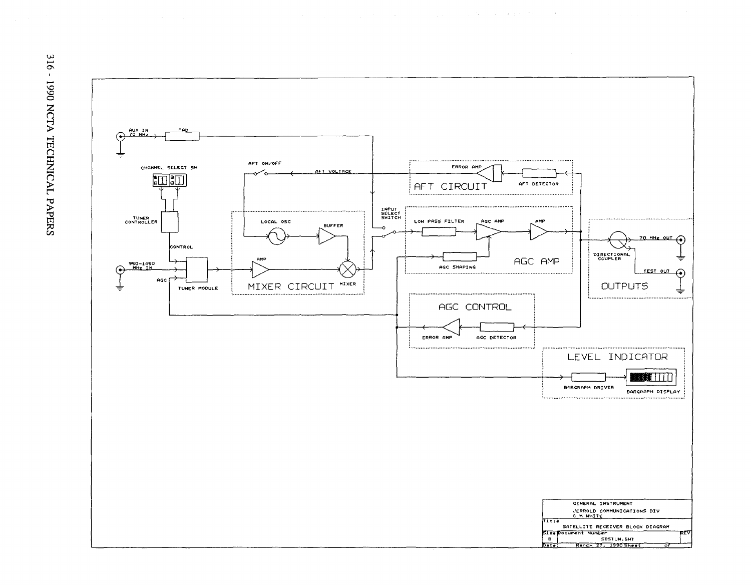

 $\mathcal{L}_{\rm{max}}$  and the second constraint in the second constraint of the second constraints of  $\mathcal{L}_{\rm{max}}$